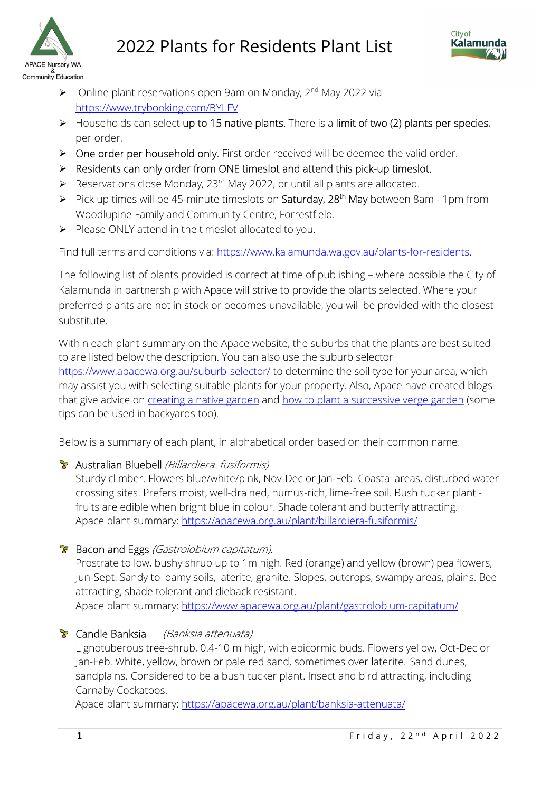



- $\triangleright$  Online plant reservations open 9am on Monday, 2<sup>nd</sup> May 2022 via https://www.trybooking.com/BYLFV
- $\triangleright$  Households can select up to 15 native plants. There is a limit of two (2) plants per species, per order.
- ▶ One order per household only. First order received will be deemed the valid order.
- $\triangleright$  Residents can only order from ONE timeslot and attend this pick-up timeslot.
- Reservations close Monday,  $23^{rd}$  May 2022, or until all plants are allocated.
- Pick up times will be 45-minute timeslots on Saturday,  $28<sup>th</sup>$  May between 8am 1pm from Woodlupine Family and Community Centre, Forrestfield.
- $\triangleright$  Please ONLY attend in the timeslot allocated to you.

Find full terms and conditions via: https://www.kalamunda.wa.gov.au/plants-for-residents.

The following list of plants provided is correct at time of publishing – where possible the City of Kalamunda in partnership with Apace will strive to provide the plants selected. Where your preferred plants are not in stock or becomes unavailable, you will be provided with the closest substitute.

Within each plant summary on the Apace website, the suburbs that the plants are best suited to are listed below the description. You can also use the suburb selector https://www.apacewa.org.au/suburb-selector/ to determine the soil type for your area, which may assist you with selecting suitable plants for your property. Also, Apace have created blogs that give advice on *creating a native garden* and how to plant a successive verge garden (some tips can be used in backyards too).

Below is a summary of each plant, in alphabetical order based on their common name.

## Australian Bluebell (Billardiera fusiformis)

Sturdy climber. Flowers blue/white/pink, Nov-Dec or Jan-Feb. Coastal areas, disturbed water crossing sites. Prefers moist, well-drained, humus-rich, lime-free soil. Bush tucker plant fruits are edible when bright blue in colour. Shade tolerant and butterfly attracting. Apace plant summary: https://apacewa.org.au/plant/billardiera-fusiformis/

## **Bacon and Eggs** (Gastrolobium capitatum).

Prostrate to low, bushy shrub up to 1m high. Red (orange) and yellow (brown) pea flowers, Jun-Sept. Sandy to loamy soils, laterite, granite. Slopes, outcrops, swampy areas, plains. Bee attracting, shade tolerant and dieback resistant.

Apace plant summary: https://www.apacewa.org.au/plant/gastrolobium-capitatum/

# **T** Candle Banksia (Banksia attenuata)

Lignotuberous tree-shrub, 0.4-10 m high, with epicormic buds. Flowers yellow, Oct-Dec or Jan-Feb. White, yellow, brown or pale red sand, sometimes over laterite. Sand dunes, sandplains. Considered to be a bush tucker plant. Insect and bird attracting, including Carnaby Cockatoos.

Apace plant summary: https://apacewa.org.au/plant/banksia-attenuata/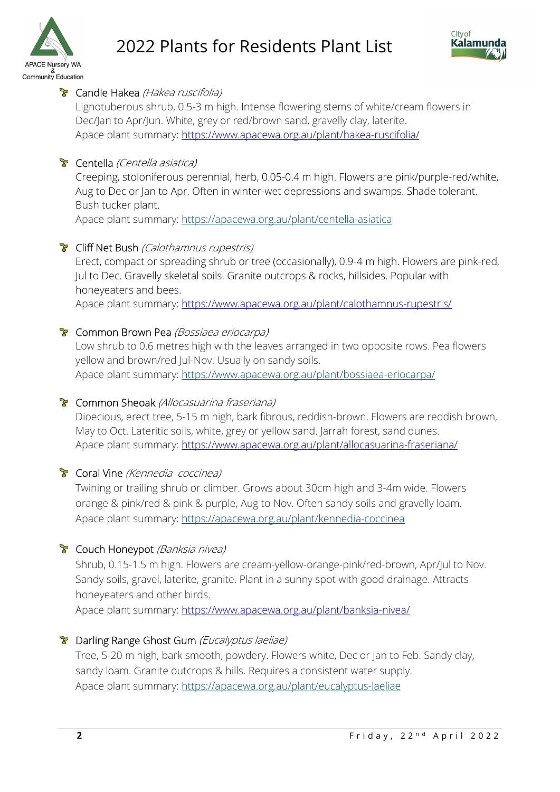



## **T** Candle Hakea (Hakea ruscifolia)

Lignotuberous shrub, 0.5-3 m high. Intense flowering stems of white/cream flowers in Dec/Jan to Apr/Jun. White, grey or red/brown sand, gravelly clay, laterite. Apace plant summary: https://www.apacewa.org.au/plant/hakea-ruscifolia/

## **T** Centella (Centella asiatica)

Creeping, stoloniferous perennial, herb, 0.05-0.4 m high. Flowers are pink/purple-red/white, Aug to Dec or Jan to Apr. Often in winter-wet depressions and swamps. Shade tolerant. Bush tucker plant.

Apace plant summary: https://apacewa.org.au/plant/centella-asiatica

## **T** Cliff Net Bush *(Calothamnus rupestris)*

Erect, compact or spreading shrub or tree (occasionally), 0.9-4 m high. Flowers are pink-red, Jul to Dec. Gravelly skeletal soils. Granite outcrops & rocks, hillsides. Popular with honeyeaters and bees.

Apace plant summary: https://www.apacewa.org.au/plant/calothamnus-rupestris/

#### **T** Common Brown Pea (Bossiaea eriocarpa)

Low shrub to 0.6 metres high with the leaves arranged in two opposite rows. Pea flowers yellow and brown/red Jul-Nov. Usually on sandy soils. Apace plant summary: https://www.apacewa.org.au/plant/bossiaea-eriocarpa/

#### **T** Common Sheoak (Allocasuarina fraseriana)

Dioecious, erect tree, 5-15 m high, bark fibrous, reddish-brown. Flowers are reddish brown, May to Oct. Lateritic soils, white, grey or yellow sand. Jarrah forest, sand dunes. Apace plant summary: https://www.apacewa.org.au/plant/allocasuarina-fraseriana/

## **T** Coral Vine (Kennedia coccinea)

Twining or trailing shrub or climber. Grows about 30cm high and 3-4m wide. Flowers orange & pink/red & pink & purple, Aug to Nov. Often sandy soils and gravelly loam. Apace plant summary: https://apacewa.org.au/plant/kennedia-coccinea

## **T** Couch Honeypot (Banksia nivea)

Shrub, 0.15-1.5 m high. Flowers are cream-yellow-orange-pink/red-brown, Apr/Jul to Nov. Sandy soils, gravel, laterite, granite. Plant in a sunny spot with good drainage. Attracts honeyeaters and other birds.

Apace plant summary: https://www.apacewa.org.au/plant/banksia-nivea/

## **B** Darling Range Ghost Gum (Eucalyptus laeliae)

Tree, 5-20 m high, bark smooth, powdery. Flowers white, Dec or Jan to Feb. Sandy clay, sandy loam. Granite outcrops & hills. Requires a consistent water supply. Apace plant summary: https://apacewa.org.au/plant/eucalyptus-laeliae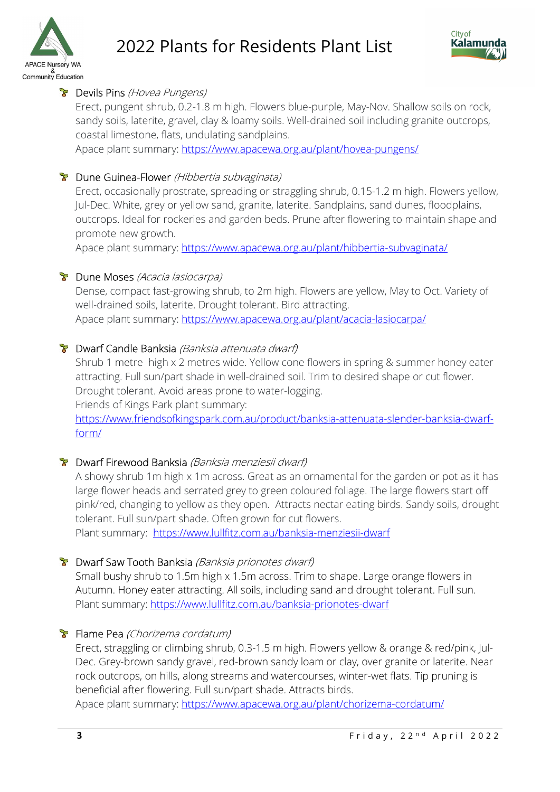



## **B** Devils Pins (Hovea Pungens)

Erect, pungent shrub, 0.2-1.8 m high. Flowers blue-purple, May-Nov. Shallow soils on rock, sandy soils, laterite, gravel, clay & loamy soils. Well-drained soil including granite outcrops, coastal limestone, flats, undulating sandplains.

Apace plant summary: https://www.apacewa.org.au/plant/hovea-pungens/

#### **B** Dune Guinea-Flower (Hibbertia subvaginata)

Erect, occasionally prostrate, spreading or straggling shrub, 0.15-1.2 m high. Flowers yellow, Jul-Dec. White, grey or yellow sand, granite, laterite. Sandplains, sand dunes, floodplains, outcrops. Ideal for rockeries and garden beds. Prune after flowering to maintain shape and promote new growth.

Apace plant summary: https://www.apacewa.org.au/plant/hibbertia-subvaginata/

#### **B** Dune Moses (Acacia lasiocarpa)

Dense, compact fast-growing shrub, to 2m high. Flowers are yellow, May to Oct. Variety of well-drained soils, laterite. Drought tolerant. Bird attracting. Apace plant summary: https://www.apacewa.org.au/plant/acacia-lasiocarpa/

#### **B** Dwarf Candle Banksia (Banksia attenuata dwarf)

Shrub 1 metre high x 2 metres wide. Yellow cone flowers in spring & summer honey eater attracting. Full sun/part shade in well-drained soil. Trim to desired shape or cut flower. Drought tolerant. Avoid areas prone to water-logging. Friends of Kings Park plant summary:

https://www.friendsofkingspark.com.au/product/banksia-attenuata-slender-banksia-dwarfform/

## **B** Dwarf Firewood Banksia (Banksia menziesii dwarf)

A showy shrub 1m high x 1m across. Great as an ornamental for the garden or pot as it has large flower heads and serrated grey to green coloured foliage. The large flowers start off pink/red, changing to yellow as they open. Attracts nectar eating birds. Sandy soils, drought tolerant. Full sun/part shade. Often grown for cut flowers.

Plant summary: https://www.lullfitz.com.au/banksia-menziesii-dwarf

#### **B** Dwarf Saw Tooth Banksia (Banksia prionotes dwarf)

Small bushy shrub to 1.5m high x 1.5m across. Trim to shape. Large orange flowers in Autumn. Honey eater attracting. All soils, including sand and drought tolerant. Full sun. Plant summary: https://www.lullfitz.com.au/banksia-prionotes-dwarf

## **F** Flame Pea (Chorizema cordatum)

Erect, straggling or climbing shrub, 0.3-1.5 m high. Flowers yellow & orange & red/pink, Jul-Dec. Grey-brown sandy gravel, red-brown sandy loam or clay, over granite or laterite. Near rock outcrops, on hills, along streams and watercourses, winter-wet flats. Tip pruning is beneficial after flowering. Full sun/part shade. Attracts birds.

Apace plant summary: https://www.apacewa.org.au/plant/chorizema-cordatum/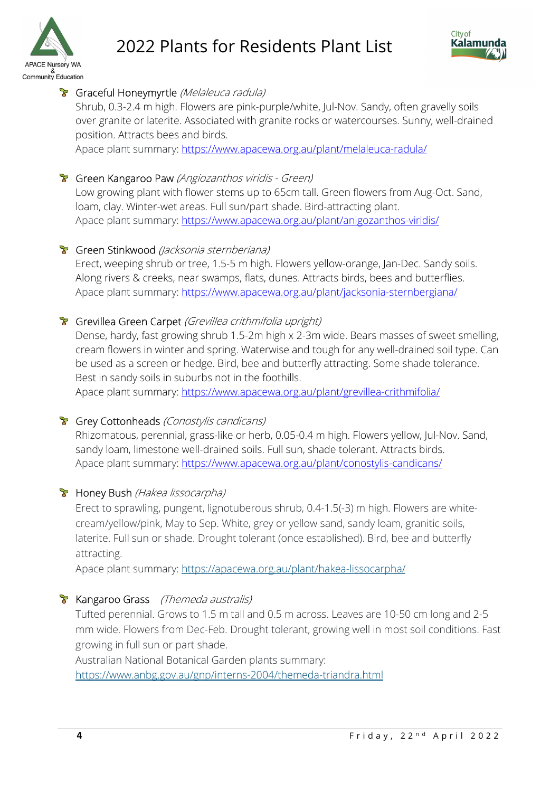



# **T** Graceful Honeymyrtle (Melaleuca radula)

Shrub, 0.3-2.4 m high. Flowers are pink-purple/white, Jul-Nov. Sandy, often gravelly soils over granite or laterite. Associated with granite rocks or watercourses. Sunny, well-drained position. Attracts bees and birds.

Apace plant summary: https://www.apacewa.org.au/plant/melaleuca-radula/

## **T** Green Kangaroo Paw (Angiozanthos viridis - Green)

Low growing plant with flower stems up to 65cm tall. Green flowers from Aug-Oct. Sand, loam, clay. Winter-wet areas. Full sun/part shade. Bird-attracting plant. Apace plant summary: https://www.apacewa.org.au/plant/anigozanthos-viridis/

# **T** Green Stinkwood (Jacksonia sternberiana)

Erect, weeping shrub or tree, 1.5-5 m high. Flowers yellow-orange, Jan-Dec. Sandy soils. Along rivers & creeks, near swamps, flats, dunes. Attracts birds, bees and butterflies. Apace plant summary: https://www.apacewa.org.au/plant/jacksonia-sternbergiana/

# **F** Grevillea Green Carpet (Grevillea crithmifolia upright)

Dense, hardy, fast growing shrub 1.5-2m high x 2-3m wide. Bears masses of sweet smelling, cream flowers in winter and spring. Waterwise and tough for any well-drained soil type. Can be used as a screen or hedge. Bird, bee and butterfly attracting. Some shade tolerance. Best in sandy soils in suburbs not in the foothills.

Apace plant summary: https://www.apacewa.org.au/plant/grevillea-crithmifolia/

## **Grey Cottonheads** (Conostylis candicans)

Rhizomatous, perennial, grass-like or herb, 0.05-0.4 m high. Flowers yellow, Jul-Nov. Sand, sandy loam, limestone well-drained soils. Full sun, shade tolerant. Attracts birds. Apace plant summary: https://www.apacewa.org.au/plant/conostylis-candicans/

## **B** Honey Bush (Hakea lissocarpha)

Erect to sprawling, pungent, lignotuberous shrub, 0.4-1.5(-3) m high. Flowers are whitecream/yellow/pink, May to Sep. White, grey or yellow sand, sandy loam, granitic soils, laterite. Full sun or shade. Drought tolerant (once established). Bird, bee and butterfly attracting.

Apace plant summary: https://apacewa.org.au/plant/hakea-lissocarpha/

# **Kangaroo Grass** (Themeda australis)

Tufted perennial. Grows to 1.5 m tall and 0.5 m across. Leaves are 10-50 cm long and 2-5 mm wide. Flowers from Dec-Feb. Drought tolerant, growing well in most soil conditions. Fast growing in full sun or part shade.

Australian National Botanical Garden plants summary:

https://www.anbg.gov.au/gnp/interns-2004/themeda-triandra.html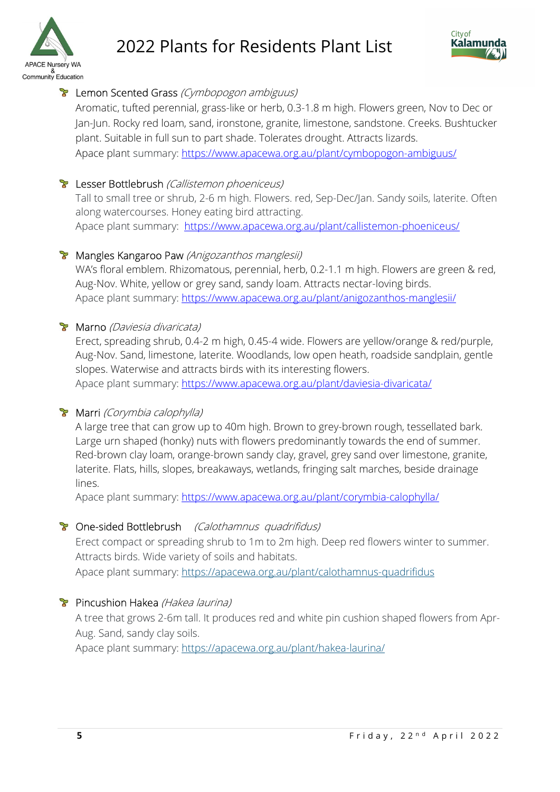



# **P** Lemon Scented Grass (Cymbopogon ambiguus)

Aromatic, tufted perennial, grass-like or herb, 0.3-1.8 m high. Flowers green, Nov to Dec or Jan-Jun. Rocky red loam, sand, ironstone, granite, limestone, sandstone. Creeks. Bushtucker plant. Suitable in full sun to part shade. Tolerates drought. Attracts lizards. Apace plant summary: https://www.apacewa.org.au/plant/cymbopogon-ambiguus/

# **B** Lesser Bottlebrush (Callistemon phoeniceus)

Tall to small tree or shrub, 2-6 m high. Flowers. red, Sep-Dec/Jan. Sandy soils, laterite. Often along watercourses. Honey eating bird attracting. Apace plant summary: https://www.apacewa.org.au/plant/callistemon-phoeniceus/

## **T** Mangles Kangaroo Paw (Anigozanthos manglesii)

WA's floral emblem. Rhizomatous, perennial, herb, 0.2-1.1 m high. Flowers are green & red, Aug-Nov. White, yellow or grey sand, sandy loam. Attracts nectar-loving birds. Apace plant summary: https://www.apacewa.org.au/plant/anigozanthos-manglesii/

# **Marno** (Daviesia divaricata)

Erect, spreading shrub, 0.4-2 m high, 0.45-4 wide. Flowers are yellow/orange & red/purple, Aug-Nov. Sand, limestone, laterite. Woodlands, low open heath, roadside sandplain, gentle slopes. Waterwise and attracts birds with its interesting flowers. Apace plant summary: https://www.apacewa.org.au/plant/daviesia-divaricata/

## **Marri** (Corymbia calophylla)

A large tree that can grow up to 40m high. Brown to grey-brown rough, tessellated bark. Large urn shaped (honky) nuts with flowers predominantly towards the end of summer. Red-brown clay loam, orange-brown sandy clay, gravel, grey sand over limestone, granite, laterite. Flats, hills, slopes, breakaways, wetlands, fringing salt marches, beside drainage lines.

Apace plant summary: https://www.apacewa.org.au/plant/corymbia-calophylla/

# **T** One-sided Bottlebrush (Calothamnus quadrifidus)

Erect compact or spreading shrub to 1m to 2m high. Deep red flowers winter to summer. Attracts birds. Wide variety of soils and habitats.

Apace plant summary: https://apacewa.org.au/plant/calothamnus-quadrifidus

# **P** Pincushion Hakea (Hakea laurina)

A tree that grows 2-6m tall. It produces red and white pin cushion shaped flowers from Apr-Aug. Sand, sandy clay soils.

Apace plant summary: https://apacewa.org.au/plant/hakea-laurina/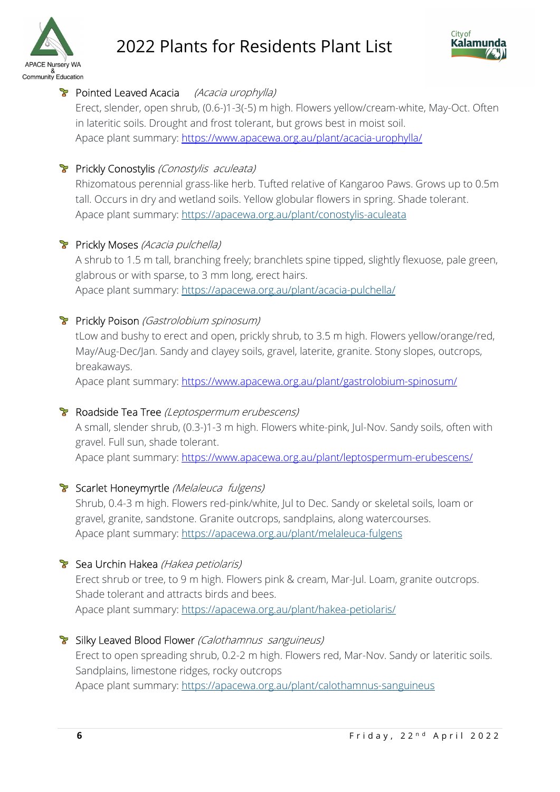



# **Pointed Leaved Acacia** (Acacia urophylla)

Erect, slender, open shrub, (0.6-)1-3(-5) m high. Flowers yellow/cream-white, May-Oct. Often in lateritic soils. Drought and frost tolerant, but grows best in moist soil. Apace plant summary: https://www.apacewa.org.au/plant/acacia-urophylla/

# **Prickly Conostylis** (Conostylis aculeata)

Rhizomatous perennial grass-like herb. Tufted relative of Kangaroo Paws. Grows up to 0.5m tall. Occurs in dry and wetland soils. Yellow globular flowers in spring. Shade tolerant. Apace plant summary: https://apacewa.org.au/plant/conostylis-aculeata

# **Prickly Moses** (Acacia pulchella)

A shrub to 1.5 m tall, branching freely; branchlets spine tipped, slightly flexuose, pale green, glabrous or with sparse, to 3 mm long, erect hairs. Apace plant summary: https://apacewa.org.au/plant/acacia-pulchella/

## **Prickly Poison** (Gastrolobium spinosum)

tLow and bushy to erect and open, prickly shrub, to 3.5 m high. Flowers yellow/orange/red, May/Aug-Dec/Jan. Sandy and clayey soils, gravel, laterite, granite. Stony slopes, outcrops, breakaways.

Apace plant summary: https://www.apacewa.org.au/plant/gastrolobium-spinosum/

## **R** Roadside Tea Tree (Leptospermum erubescens)

A small, slender shrub, (0.3-)1-3 m high. Flowers white-pink, Jul-Nov. Sandy soils, often with gravel. Full sun, shade tolerant.

Apace plant summary: https://www.apacewa.org.au/plant/leptospermum-erubescens/

## **Scarlet Honeymyrtle** (Melaleuca fulgens)

Shrub, 0.4-3 m high. Flowers red-pink/white, Jul to Dec. Sandy or skeletal soils, loam or gravel, granite, sandstone. Granite outcrops, sandplains, along watercourses. Apace plant summary: https://apacewa.org.au/plant/melaleuca-fulgens

## **Sea Urchin Hakea** (Hakea petiolaris)

Erect shrub or tree, to 9 m high. Flowers pink & cream, Mar-Jul. Loam, granite outcrops. Shade tolerant and attracts birds and bees. Apace plant summary: https://apacewa.org.au/plant/hakea-petiolaris/

## **T** Silky Leaved Blood Flower (Calothamnus sanguineus)

Erect to open spreading shrub, 0.2-2 m high. Flowers red, Mar-Nov. Sandy or lateritic soils. Sandplains, limestone ridges, rocky outcrops Apace plant summary: https://apacewa.org.au/plant/calothamnus-sanguineus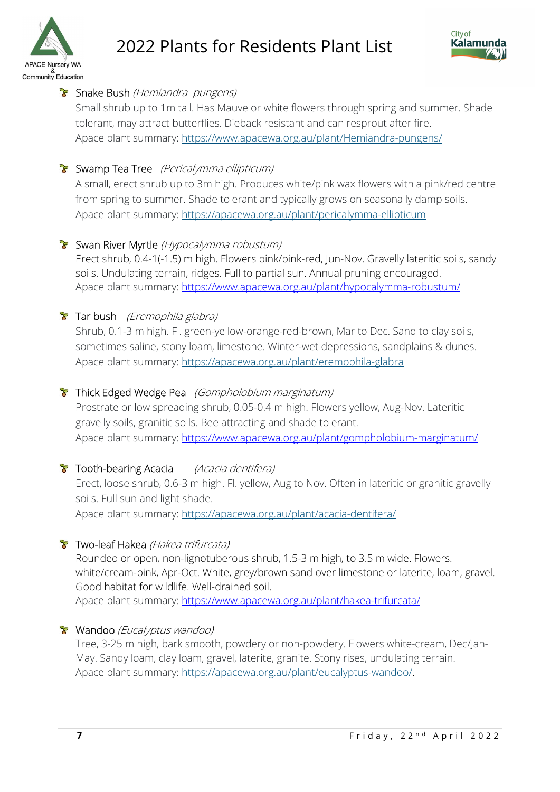



# **T** Snake Bush (Hemiandra pungens)

Small shrub up to 1m tall. Has Mauve or white flowers through spring and summer. Shade tolerant, may attract butterflies. Dieback resistant and can resprout after fire. Apace plant summary: https://www.apacewa.org.au/plant/Hemiandra-pungens/

# **T** Swamp Tea Tree (Pericalymma ellipticum)

A small, erect shrub up to 3m high. Produces white/pink wax flowers with a pink/red centre from spring to summer. Shade tolerant and typically grows on seasonally damp soils. Apace plant summary: https://apacewa.org.au/plant/pericalymma-ellipticum

# **B** Swan River Myrtle (Hypocalymma robustum)

Erect shrub, 0.4-1(-1.5) m high. Flowers pink/pink-red, Jun-Nov. Gravelly lateritic soils, sandy soils. Undulating terrain, ridges. Full to partial sun. Annual pruning encouraged. Apace plant summary: https://www.apacewa.org.au/plant/hypocalymma-robustum/

# $\triangleright$  Tar bush *(Eremophila glabra)*

Shrub, 0.1-3 m high. Fl. green-yellow-orange-red-brown, Mar to Dec. Sand to clay soils, sometimes saline, stony loam, limestone. Winter-wet depressions, sandplains & dunes. Apace plant summary: https://apacewa.org.au/plant/eremophila-glabra

# **Thick Edged Wedge Pea** (Gompholobium marginatum)

Prostrate or low spreading shrub, 0.05-0.4 m high. Flowers yellow, Aug-Nov. Lateritic gravelly soils, granitic soils. Bee attracting and shade tolerant. Apace plant summary: https://www.apacewa.org.au/plant/gompholobium-marginatum/

# **T** Tooth-bearing Acacia (Acacia dentifera)

Erect, loose shrub, 0.6-3 m high. Fl. yellow, Aug to Nov. Often in lateritic or granitic gravelly soils. Full sun and light shade. Apace plant summary: https://apacewa.org.au/plant/acacia-dentifera/

## **Two-leaf Hakea** (Hakea trifurcata)

Rounded or open, non-lignotuberous shrub, 1.5-3 m high, to 3.5 m wide. Flowers. white/cream-pink, Apr-Oct. White, grey/brown sand over limestone or laterite, loam, gravel. Good habitat for wildlife. Well-drained soil.

Apace plant summary: https://www.apacewa.org.au/plant/hakea-trifurcata/

## **Wandoo** (Eucalyptus wandoo)

Tree, 3-25 m high, bark smooth, powdery or non-powdery. Flowers white-cream, Dec/Jan-May. Sandy loam, clay loam, gravel, laterite, granite. Stony rises, undulating terrain. Apace plant summary: https://apacewa.org.au/plant/eucalyptus-wandoo/.